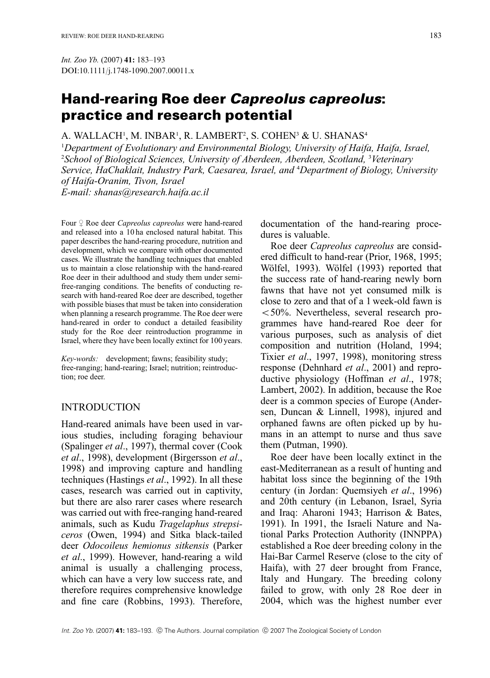Int. Zoo Yb. (2007) 41: 183–193 DOI:10.1111/j.1748-1090.2007.00011.x

# Hand-rearing Roe deer Capreolus capreolus: practice and research potential

A. WALLACH', M. INBAR', R. LAMBERT<sup>2</sup>, S. COHEN<sup>3</sup> & U. SHANAS<sup>4</sup>

<sup>1</sup>Department of Evolutionary and Environmental Biology, University of Haifa, Haifa, Israel, <sup>2</sup>School of Biological Sciences, University of Aberdeen, Aberdeen, Scotland, <sup>3</sup>Veterinary Service, HaChaklait, Industry Park, Caesarea, Israel, and <sup>4</sup>Department of Biology, University of Haifa-Oranim, Tivon, Israel E-mail: shanas@research.haifa.ac.il

Four  $\varphi$  Roe deer Capreolus capreolus were hand-reared and released into a 10 ha enclosed natural habitat. This paper describes the hand-rearing procedure, nutrition and development, which we compare with other documented cases. We illustrate the handling techniques that enabled us to maintain a close relationship with the hand-reared Roe deer in their adulthood and study them under semifree-ranging conditions. The benefits of conducting research with hand-reared Roe deer are described, together with possible biases that must be taken into consideration when planning a research programme. The Roe deer were hand-reared in order to conduct a detailed feasibility study for the Roe deer reintroduction programme in Israel, where they have been locally extinct for 100 years.

Key-words: development; fawns; feasibility study; free-ranging; hand-rearing; Israel; nutrition; reintroduction; roe deer.

# INTRODUCTION

Hand-reared animals have been used in various studies, including foraging behaviour (Spalinger et al., 1997), thermal cover (Cook et al., 1998), development (Birgersson et al., 1998) and improving capture and handling techniques (Hastings et al., 1992). In all these cases, research was carried out in captivity, but there are also rarer cases where research was carried out with free-ranging hand-reared animals, such as Kudu Tragelaphus strepsiceros (Owen, 1994) and Sitka black-tailed deer Odocoileus hemionus sitkensis (Parker et al., 1999). However, hand-rearing a wild animal is usually a challenging process, which can have a very low success rate, and therefore requires comprehensive knowledge and fine care (Robbins, 1993). Therefore,

documentation of the hand-rearing procedures is valuable.

Roe deer Capreolus capreolus are considered difficult to hand-rear (Prior, 1968, 1995; Wölfel, 1993). Wölfel (1993) reported that the success rate of hand-rearing newly born fawns that have not yet consumed milk is close to zero and that of a 1 week-old fawn is  $<$  50%. Nevertheless, several research programmes have hand-reared Roe deer for various purposes, such as analysis of diet composition and nutrition (Holand, 1994; Tixier et al., 1997, 1998), monitoring stress response (Dehnhard et al., 2001) and reproductive physiology (Hoffman et al., 1978; Lambert, 2002). In addition, because the Roe deer is a common species of Europe (Andersen, Duncan & Linnell, 1998), injured and orphaned fawns are often picked up by humans in an attempt to nurse and thus save them (Putman, 1990).

Roe deer have been locally extinct in the east-Mediterranean as a result of hunting and habitat loss since the beginning of the 19th century (in Jordan: Quemsiyeh et al., 1996) and 20th century (in Lebanon, Israel, Syria and Iraq: Aharoni 1943; Harrison & Bates, 1991). In 1991, the Israeli Nature and National Parks Protection Authority (INNPPA) established a Roe deer breeding colony in the Hai-Bar Carmel Reserve (close to the city of Haifa), with 27 deer brought from France, Italy and Hungary. The breeding colony failed to grow, with only 28 Roe deer in 2004, which was the highest number ever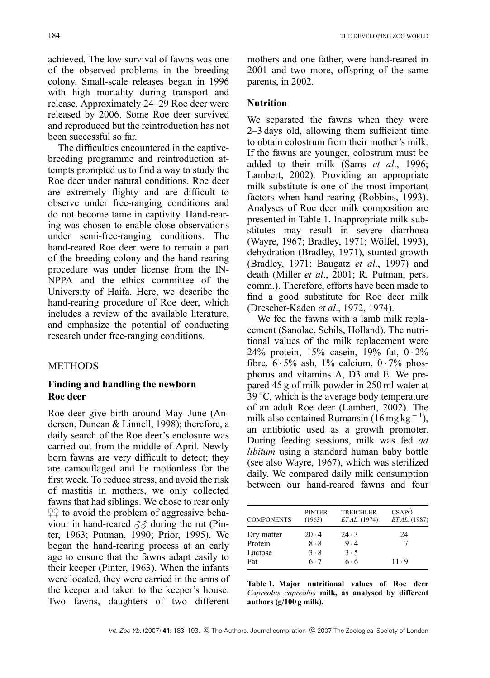achieved. The low survival of fawns was one of the observed problems in the breeding colony. Small-scale releases began in 1996 with high mortality during transport and release. Approximately 24–29 Roe deer were released by 2006. Some Roe deer survived and reproduced but the reintroduction has not been successful so far.

The difficulties encountered in the captivebreeding programme and reintroduction attempts prompted us to find a way to study the Roe deer under natural conditions. Roe deer are extremely flighty and are difficult to observe under free-ranging conditions and do not become tame in captivity. Hand-rearing was chosen to enable close observations under semi-free-ranging conditions. The hand-reared Roe deer were to remain a part of the breeding colony and the hand-rearing procedure was under license from the IN-NPPA and the ethics committee of the University of Haifa. Here, we describe the hand-rearing procedure of Roe deer, which includes a review of the available literature, and emphasize the potential of conducting research under free-ranging conditions.

# METHODS

# Finding and handling the newborn Roe deer

Roe deer give birth around May–June (Andersen, Duncan & Linnell, 1998); therefore, a daily search of the Roe deer's enclosure was carried out from the middle of April. Newly born fawns are very difficult to detect; they are camouflaged and lie motionless for the first week. To reduce stress, and avoid the risk of mastitis in mothers, we only collected fawns that had siblings. We chose to rear only  $\sqrt{2}$  to avoid the problem of aggressive behaviour in hand-reared  $\partial \phi$  during the rut (Pinter, 1963; Putman, 1990; Prior, 1995). We began the hand-rearing process at an early age to ensure that the fawns adapt easily to their keeper (Pinter, 1963). When the infants were located, they were carried in the arms of the keeper and taken to the keeper's house. Two fawns, daughters of two different

mothers and one father, were hand-reared in 2001 and two more, offspring of the same parents, in 2002.

#### Nutrition

We separated the fawns when they were 2–3 days old, allowing them sufficient time to obtain colostrum from their mother's milk. If the fawns are younger, colostrum must be added to their milk (Sams et al., 1996; Lambert, 2002). Providing an appropriate milk substitute is one of the most important factors when hand-rearing (Robbins, 1993). Analyses of Roe deer milk composition are presented in Table 1. Inappropriate milk substitutes may result in severe diarrhoea (Wayre, 1967; Bradley, 1971; Wölfel, 1993), dehydration (Bradley, 1971), stunted growth (Bradley, 1971; Baugatz et al., 1997) and death (Miller et al., 2001; R. Putman, pers. comm.). Therefore, efforts have been made to find a good substitute for Roe deer milk (Drescher-Kaden et al., 1972, 1974).

We fed the fawns with a lamb milk replacement (Sanolac, Schils, Holland). The nutritional values of the milk replacement were 24% protein, 15% casein, 19% fat, 0 - 2% fibre,  $6 \cdot 5\%$  ash,  $1\%$  calcium,  $0 \cdot 7\%$  phosphorus and vitamins A, D3 and E. We prepared 45 g of milk powder in 250 ml water at  $39^{\circ}$ C, which is the average body temperature of an adult Roe deer (Lambert, 2002). The milk also contained Rumansin (16 mg kg<sup>-1</sup>), an antibiotic used as a growth promoter. During feeding sessions, milk was fed ad libitum using a standard human baby bottle (see also Wayre, 1967), which was sterilized daily. We compared daily milk consumption between our hand-reared fawns and four

| <b>COMPONENTS</b> | <b>PINTER</b><br>(1963) | <b>TREICHLER</b><br>ET AL. (1974) | <b>CSAPÓ</b><br>ET AL. (1987) |  |
|-------------------|-------------------------|-----------------------------------|-------------------------------|--|
|                   |                         |                                   |                               |  |
| Dry matter        | 20.4                    | 24.3                              | 24                            |  |
| Protein           | 8.8                     | 9.4                               |                               |  |
| Lactose           | 3.8                     | 3.5                               |                               |  |
| Fat               | 6.7                     | 6.6                               | 11.9                          |  |

Table 1. Major nutritional values of Roe deer Capreolus capreolus milk, as analysed by different authors (g/100 g milk).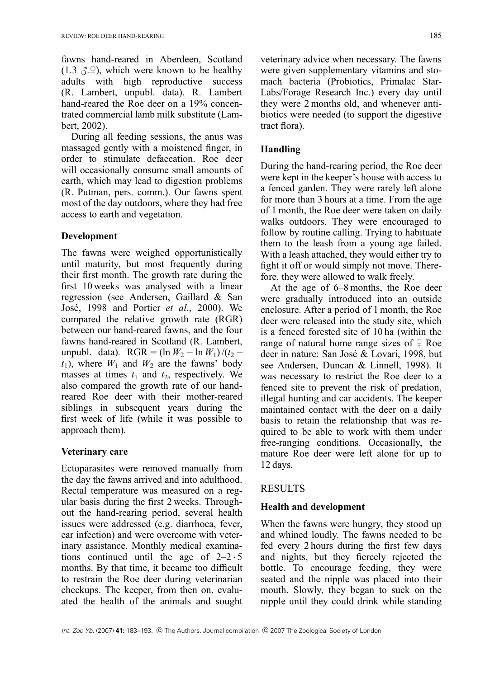fawns hand-reared in Aberdeen, Scotland  $(1.3 \, \mathcal{L}^2)$ , which were known to be healthy adults with high reproductive success (R. Lambert, unpubl. data). R. Lambert hand-reared the Roe deer on a 19% concentrated commercial lamb milk substitute (Lambert, 2002).

During all feeding sessions, the anus was massaged gently with a moistened finger, in order to stimulate defaecation. Roe deer will occasionally consume small amounts of earth, which may lead to digestion problems (R. Putman, pers. comm.). Our fawns spent most of the day outdoors, where they had free access to earth and vegetation.

#### Development

The fawns were weighed opportunistically until maturity, but most frequently during their first month. The growth rate during the first 10 weeks was analysed with a linear regression (see Andersen, Gaillard & San José, 1998 and Portier et al., 2000). We compared the relative growth rate (RGR) between our hand-reared fawns, and the four fawns hand-reared in Scotland (R. Lambert, unpubl. data). RGR =  $(\ln W_2 - \ln W_1)/(t_2$  $t_1$ ), where  $W_1$  and  $W_2$  are the fawns' body masses at times  $t_1$  and  $t_2$ , respectively. We also compared the growth rate of our handreared Roe deer with their mother-reared siblings in subsequent years during the first week of life (while it was possible to approach them).

#### Veterinary care

Ectoparasites were removed manually from the day the fawns arrived and into adulthood. Rectal temperature was measured on a regular basis during the first 2 weeks. Throughout the hand-rearing period, several health issues were addressed (e.g. diarrhoea, fever, ear infection) and were overcome with veterinary assistance. Monthly medical examinations continued until the age of  $2-2 \cdot 5$ months. By that time, it became too difficult to restrain the Roe deer during veterinarian checkups. The keeper, from then on, evaluated the health of the animals and sought

veterinary advice when necessary. The fawns were given supplementary vitamins and stomach bacteria (Probiotics, Primalac Star-Labs/Forage Research Inc.) every day until they were 2 months old, and whenever antibiotics were needed (to support the digestive tract flora).

# Handling

During the hand-rearing period, the Roe deer were kept in the keeper's house with access to a fenced garden. They were rarely left alone for more than 3 hours at a time. From the age of 1 month, the Roe deer were taken on daily walks outdoors. They were encouraged to follow by routine calling. Trying to habituate them to the leash from a young age failed. With a leash attached, they would either try to fight it off or would simply not move. Therefore, they were allowed to walk freely.

At the age of 6–8 months, the Roe deer were gradually introduced into an outside enclosure. After a period of 1 month, the Roe deer were released into the study site, which is a fenced forested site of 10 ha (within the range of natural home range sizes of  $\circ$  Roe deer in nature: San José & Lovari, 1998, but see Andersen, Duncan & Linnell, 1998). It was necessary to restrict the Roe deer to a fenced site to prevent the risk of predation, illegal hunting and car accidents. The keeper maintained contact with the deer on a daily basis to retain the relationship that was required to be able to work with them under free-ranging conditions. Occasionally, the mature Roe deer were left alone for up to 12 days.

# **RESULTS**

# Health and development

When the fawns were hungry, they stood up and whined loudly. The fawns needed to be fed every 2 hours during the first few days and nights, but they fiercely rejected the bottle. To encourage feeding, they were seated and the nipple was placed into their mouth. Slowly, they began to suck on the nipple until they could drink while standing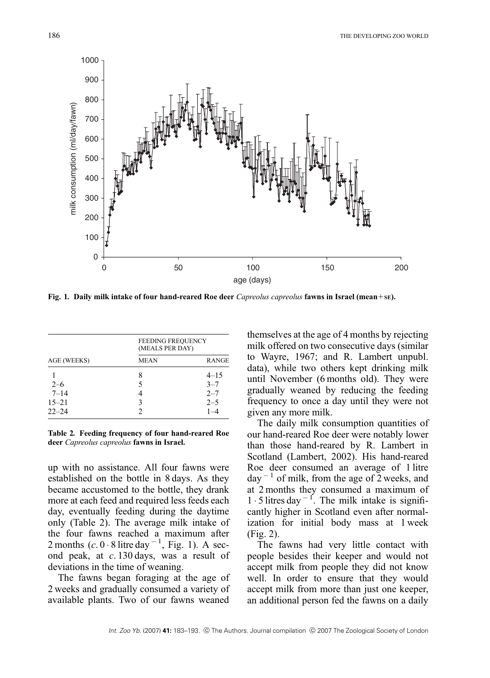

Fig. 1. Daily milk intake of four hand-reared Roe deer Capreolus capreolus fawns in Israel (mean+se).

| AGE (WEEKS) | <b>FEEDING FREQUENCY</b><br>(MEALS PER DAY) |          |  |
|-------------|---------------------------------------------|----------|--|
|             | <b>MEAN</b>                                 | RANGE    |  |
|             | 8                                           | $4 - 15$ |  |
| $2 - 6$     | 5                                           | $3 - 7$  |  |
| $7 - 14$    |                                             | $2 - 7$  |  |
| $15 - 21$   | 3                                           | $2 - 5$  |  |
| $22 - 24$   | 2                                           |          |  |

Table 2. Feeding frequency of four hand-reared Roe deer Capreolus capreolus fawns in Israel.

up with no assistance. All four fawns were established on the bottle in 8 days. As they became accustomed to the bottle, they drank more at each feed and required less feeds each day, eventually feeding during the daytime only (Table 2). The average milk intake of the four fawns reached a maximum after 2 months  $(c. 0.8$  litre day<sup>-1</sup>, Fig. 1). A second peak, at c. 130 days, was a result of deviations in the time of weaning.

The fawns began foraging at the age of 2 weeks and gradually consumed a variety of available plants. Two of our fawns weaned

themselves at the age of 4 months by rejecting milk offered on two consecutive days (similar to Wayre, 1967; and R. Lambert unpubl. data), while two others kept drinking milk until November (6 months old). They were gradually weaned by reducing the feeding frequency to once a day until they were not given any more milk.

The daily milk consumption quantities of our hand-reared Roe deer were notably lower than those hand-reared by R. Lambert in Scotland (Lambert, 2002). His hand-reared Roe deer consumed an average of 1 litre  $day^{-1}$  of milk, from the age of 2 weeks, and at 2 months they consumed a maximum of  $1 \cdot 5$  litres day  $^{-1}$ . The milk intake is significantly higher in Scotland even after normalization for initial body mass at 1 week (Fig. 2).

The fawns had very little contact with people besides their keeper and would not accept milk from people they did not know well. In order to ensure that they would accept milk from more than just one keeper, an additional person fed the fawns on a daily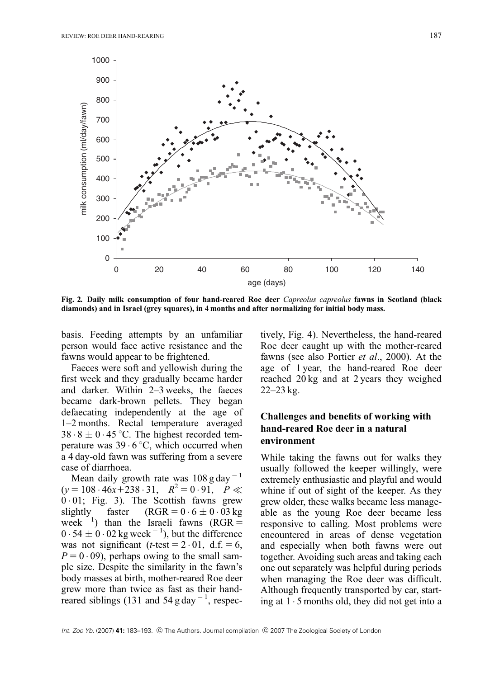

Fig. 2. Daily milk consumption of four hand-reared Roe deer *Capreolus capreolus* fawns in Scotland (black diamonds) and in Israel (grey squares), in 4 months and after normalizing for initial body mass.

basis. Feeding attempts by an unfamiliar person would face active resistance and the fawns would appear to be frightened.

Faeces were soft and yellowish during the first week and they gradually became harder and darker. Within 2–3 weeks, the faeces became dark-brown pellets. They began defaecating independently at the age of 1–2 months. Rectal temperature averaged  $38 \cdot 8 \pm 0.45$  °C. The highest recorded temperature was  $39 \cdot 6^{\circ}$ C, which occurred when a 4 day-old fawn was suffering from a severe case of diarrhoea.

Mean daily growth rate was  $108$  g day<sup>-1</sup>  $(y = 108.46x + 238.31, R^2 = 0.91, P \ll$  $0.01$ ; Fig. 3). The Scottish fawns grew slightly faster  $(RGR = 0.6 \pm 0.03 \text{ kg})$ week<sup>-1</sup>) than the Israeli fawns (RGR =  $0.54 \pm 0.02$  kg week<sup>-1</sup>), but the difference was not significant (*t*-test =  $2 \cdot 01$ , d.f. = 6,  $P = 0.09$ , perhaps owing to the small sample size. Despite the similarity in the fawn's body masses at birth, mother-reared Roe deer grew more than twice as fast as their handreared siblings (131 and  $54$  g day<sup>-1</sup>, respec-

tively, Fig. 4). Nevertheless, the hand-reared Roe deer caught up with the mother-reared fawns (see also Portier et al., 2000). At the age of 1 year, the hand-reared Roe deer reached 20 kg and at 2 years they weighed 22–23 kg.

# Challenges and benefits of working with hand-reared Roe deer in a natural environment

While taking the fawns out for walks they usually followed the keeper willingly, were extremely enthusiastic and playful and would whine if out of sight of the keeper. As they grew older, these walks became less manageable as the young Roe deer became less responsive to calling. Most problems were encountered in areas of dense vegetation and especially when both fawns were out together. Avoiding such areas and taking each one out separately was helpful during periods when managing the Roe deer was difficult. Although frequently transported by car, starting at 1 - 5 months old, they did not get into a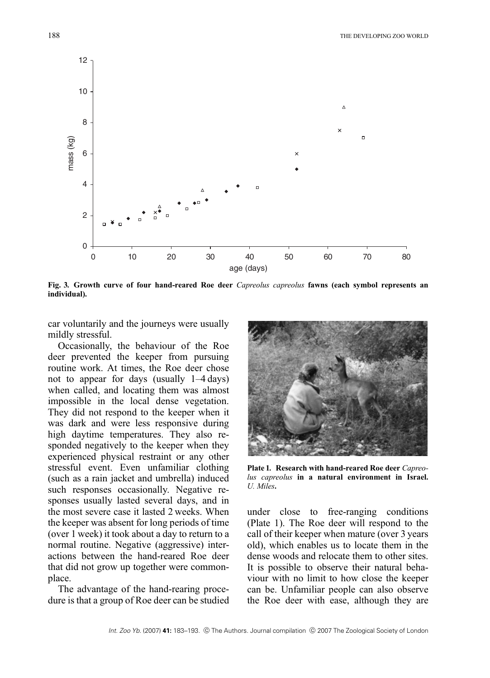

Fig. 3. Growth curve of four hand-reared Roe deer Capreolus capreolus fawns (each symbol represents an individual).

car voluntarily and the journeys were usually mildly stressful.

Occasionally, the behaviour of the Roe deer prevented the keeper from pursuing routine work. At times, the Roe deer chose not to appear for days (usually 1–4 days) when called, and locating them was almost impossible in the local dense vegetation. They did not respond to the keeper when it was dark and were less responsive during high daytime temperatures. They also responded negatively to the keeper when they experienced physical restraint or any other stressful event. Even unfamiliar clothing (such as a rain jacket and umbrella) induced such responses occasionally. Negative responses usually lasted several days, and in the most severe case it lasted 2 weeks. When the keeper was absent for long periods of time (over 1 week) it took about a day to return to a normal routine. Negative (aggressive) interactions between the hand-reared Roe deer that did not grow up together were commonplace.

The advantage of the hand-rearing procedure is that a group of Roe deer can be studied



Plate 1. Research with hand-reared Roe deer Capreolus capreolus in a natural environment in Israel. U. Miles.

under close to free-ranging conditions (Plate 1). The Roe deer will respond to the call of their keeper when mature (over 3 years old), which enables us to locate them in the dense woods and relocate them to other sites. It is possible to observe their natural behaviour with no limit to how close the keeper can be. Unfamiliar people can also observe the Roe deer with ease, although they are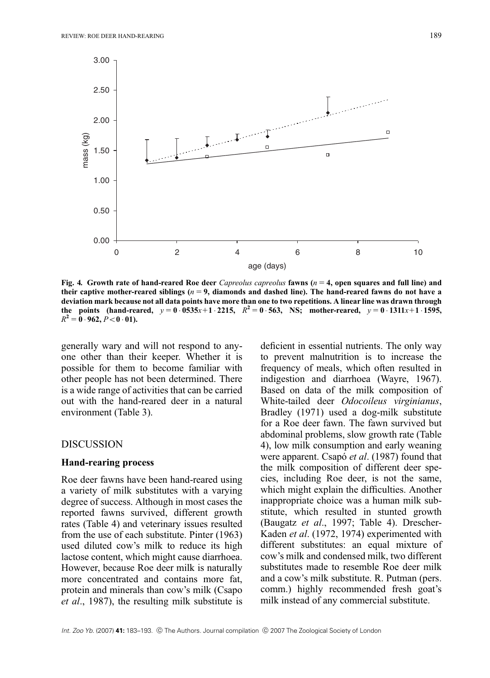

Fig. 4. Growth rate of hand-reared Roe deer *Capreolus capreolus* fawns ( $n = 4$ , open squares and full line) and their captive mother-reared siblings ( $n = 9$ , diamonds and dashed line). The hand-reared fawns do not have a deviation mark because not all data points have more than one to two repetitions. A linear line was drawn through the points (hand-reared,  $y = 0.0535x + 1.2215$ ,  $R^2 = 0.563$ , NS; mother-reared,  $y = 0.1311x + 1.1595$ ,  $R^2 = \mathbf{0} \cdot 962, P < 0 \cdot 01$ ).

generally wary and will not respond to anyone other than their keeper. Whether it is possible for them to become familiar with other people has not been determined. There is a wide range of activities that can be carried out with the hand-reared deer in a natural environment (Table 3).

#### DISCUSSION

#### Hand-rearing process

Roe deer fawns have been hand-reared using a variety of milk substitutes with a varying degree of success. Although in most cases the reported fawns survived, different growth rates (Table 4) and veterinary issues resulted from the use of each substitute. Pinter (1963) used diluted cow's milk to reduce its high lactose content, which might cause diarrhoea. However, because Roe deer milk is naturally more concentrated and contains more fat, protein and minerals than cow's milk (Csapo et al., 1987), the resulting milk substitute is

deficient in essential nutrients. The only way to prevent malnutrition is to increase the frequency of meals, which often resulted in indigestion and diarrhoea (Wayre, 1967). Based on data of the milk composition of White-tailed deer Odocoileus virginianus, Bradley (1971) used a dog-milk substitute for a Roe deer fawn. The fawn survived but abdominal problems, slow growth rate (Table 4), low milk consumption and early weaning were apparent. Csapó et al. (1987) found that the milk composition of different deer species, including Roe deer, is not the same, which might explain the difficulties. Another inappropriate choice was a human milk substitute, which resulted in stunted growth (Baugatz et al., 1997; Table 4). Drescher-Kaden et al. (1972, 1974) experimented with different substitutes: an equal mixture of cow's milk and condensed milk, two different substitutes made to resemble Roe deer milk and a cow's milk substitute. R. Putman (pers. comm.) highly recommended fresh goat's milk instead of any commercial substitute.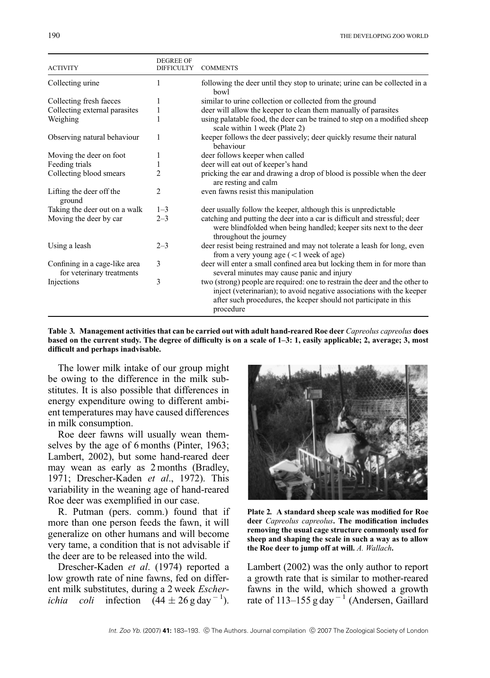| <b>ACTIVITY</b>                                            | <b>DEGREE OF</b><br><b>DIFFICULTY</b> | <b>COMMENTS</b>                                                                                                                                                                                                                       |  |
|------------------------------------------------------------|---------------------------------------|---------------------------------------------------------------------------------------------------------------------------------------------------------------------------------------------------------------------------------------|--|
| Collecting urine                                           | 1                                     | following the deer until they stop to urinate; urine can be collected in a<br>howl                                                                                                                                                    |  |
| Collecting fresh faeces                                    | 1                                     | similar to urine collection or collected from the ground                                                                                                                                                                              |  |
| Collecting external parasites                              | 1                                     | deer will allow the keeper to clean them manually of parasites                                                                                                                                                                        |  |
| Weighing                                                   |                                       | using palatable food, the deer can be trained to step on a modified sheep<br>scale within 1 week (Plate 2)                                                                                                                            |  |
| Observing natural behaviour                                | 1                                     | keeper follows the deer passively; deer quickly resume their natural<br>behaviour                                                                                                                                                     |  |
| Moving the deer on foot                                    | 1                                     | deer follows keeper when called                                                                                                                                                                                                       |  |
| Feeding trials                                             | 1                                     | deer will eat out of keeper's hand                                                                                                                                                                                                    |  |
| Collecting blood smears                                    | $\overline{c}$                        | pricking the ear and drawing a drop of blood is possible when the deer<br>are resting and calm                                                                                                                                        |  |
| Lifting the deer off the<br>ground                         | 2                                     | even fawns resist this manipulation                                                                                                                                                                                                   |  |
| Taking the deer out on a walk                              | $1 - 3$                               | deer usually follow the keeper, although this is unpredictable                                                                                                                                                                        |  |
| Moving the deer by car                                     | $2 - 3$                               | catching and putting the deer into a car is difficult and stressful; deer<br>were blindfolded when being handled; keeper sits next to the deer<br>throughout the journey                                                              |  |
| Using a leash                                              | $2 - 3$                               | deer resist being restrained and may not tolerate a leash for long, even<br>from a very young age $(< 1$ week of age)                                                                                                                 |  |
| Confining in a cage-like area<br>for veterinary treatments | 3                                     | deer will enter a small confined area but locking them in for more than<br>several minutes may cause panic and injury                                                                                                                 |  |
| Injections                                                 | 3                                     | two (strong) people are required: one to restrain the deer and the other to<br>inject (veterinarian); to avoid negative associations with the keeper<br>after such procedures, the keeper should not participate in this<br>procedure |  |

Table 3. Management activities that can be carried out with adult hand-reared Roe deer Capreolus capreolus does based on the current study. The degree of difficulty is on a scale of 1–3: 1, easily applicable; 2, average; 3, most difficult and perhaps inadvisable.

The lower milk intake of our group might be owing to the difference in the milk substitutes. It is also possible that differences in energy expenditure owing to different ambient temperatures may have caused differences in milk consumption.

Roe deer fawns will usually wean themselves by the age of 6 months (Pinter, 1963; Lambert, 2002), but some hand-reared deer may wean as early as 2 months (Bradley, 1971; Drescher-Kaden et al., 1972). This variability in the weaning age of hand-reared Roe deer was exemplified in our case.

R. Putman (pers. comm.) found that if more than one person feeds the fawn, it will generalize on other humans and will become very tame, a condition that is not advisable if the deer are to be released into the wild.

Drescher-Kaden et al. (1974) reported a low growth rate of nine fawns, fed on different milk substitutes, during a 2 week Escher*ichia coli* infection  $(44 \pm 26 \text{ g day}^{-1})$ .



Plate 2. A standard sheep scale was modified for Roe deer Capreolus capreolus. The modification includes removing the usual cage structure commonly used for sheep and shaping the scale in such a way as to allow the Roe deer to jump off at will. A. Wallach.

Lambert (2002) was the only author to report a growth rate that is similar to mother-reared fawns in the wild, which showed a growth rate of 113–155 g day<sup>-1</sup> (Andersen, Gaillard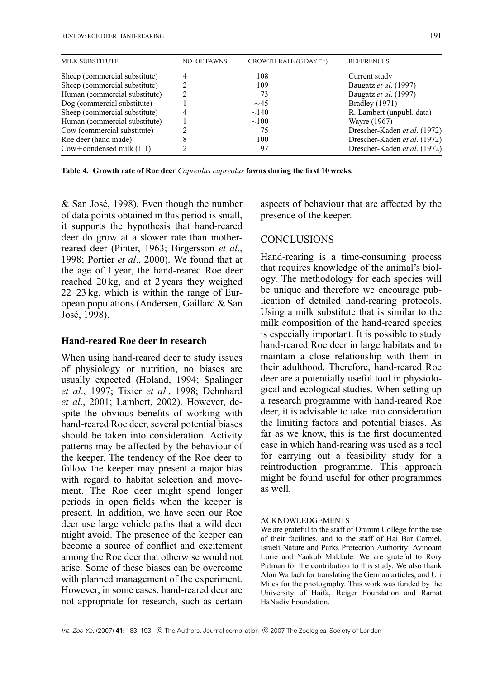| MILK SUBSTITUTE                         | <b>NO. OF FAWNS</b> | GROWTH RATE (GDAY <sup>-1</sup> ) | <b>REFERENCES</b>            |
|-----------------------------------------|---------------------|-----------------------------------|------------------------------|
| Sheep (commercial substitute)           |                     | 108                               | Current study                |
| Sheep (commercial substitute)           |                     | 109                               | Baugatz et al. (1997)        |
| Human (commercial substitute)           |                     | 73                                | Baugatz et al. (1997)        |
| Dog (commercial substitute)             |                     | $\sim$ 45                         | Bradley (1971)               |
| Sheep (commercial substitute)           |                     | $\sim$ 140                        | R. Lambert (unpubl. data)    |
| Human (commercial substitute)           |                     | $\sim 100$                        | Wayre (1967)                 |
| Cow (commercial substitute)             |                     | 75                                | Drescher-Kaden et al. (1972) |
| Roe deer (hand made)                    | 8                   | 100                               | Drescher-Kaden et al. (1972) |
| $\text{Cow}+\text{condensed milk}(1:1)$ |                     | 97                                | Drescher-Kaden et al. (1972) |

Table 4. Growth rate of Roe deer *Capreolus capreolus* fawns during the first 10 weeks.

& San Jose´, 1998). Even though the number of data points obtained in this period is small, it supports the hypothesis that hand-reared deer do grow at a slower rate than motherreared deer (Pinter, 1963; Birgersson et al., 1998; Portier et al., 2000). We found that at the age of 1 year, the hand-reared Roe deer reached 20 kg, and at 2 years they weighed 22–23 kg, which is within the range of European populations (Andersen, Gaillard & San José, 1998).

#### Hand-reared Roe deer in research

When using hand-reared deer to study issues of physiology or nutrition, no biases are usually expected (Holand, 1994; Spalinger et al., 1997; Tixier et al., 1998; Dehnhard et al., 2001; Lambert, 2002). However, despite the obvious benefits of working with hand-reared Roe deer, several potential biases should be taken into consideration. Activity patterns may be affected by the behaviour of the keeper. The tendency of the Roe deer to follow the keeper may present a major bias with regard to habitat selection and movement. The Roe deer might spend longer periods in open fields when the keeper is present. In addition, we have seen our Roe deer use large vehicle paths that a wild deer might avoid. The presence of the keeper can become a source of conflict and excitement among the Roe deer that otherwise would not arise. Some of these biases can be overcome with planned management of the experiment. However, in some cases, hand-reared deer are not appropriate for research, such as certain

aspects of behaviour that are affected by the presence of the keeper.

#### **CONCLUSIONS**

Hand-rearing is a time-consuming process that requires knowledge of the animal's biology. The methodology for each species will be unique and therefore we encourage publication of detailed hand-rearing protocols. Using a milk substitute that is similar to the milk composition of the hand-reared species is especially important. It is possible to study hand-reared Roe deer in large habitats and to maintain a close relationship with them in their adulthood. Therefore, hand-reared Roe deer are a potentially useful tool in physiological and ecological studies. When setting up a research programme with hand-reared Roe deer, it is advisable to take into consideration the limiting factors and potential biases. As far as we know, this is the first documented case in which hand-rearing was used as a tool for carrying out a feasibility study for a reintroduction programme. This approach might be found useful for other programmes as well.

#### ACKNOWLEDGEMENTS

We are grateful to the staff of Oranim College for the use of their facilities, and to the staff of Hai Bar Carmel, Israeli Nature and Parks Protection Authority: Avinoam Lurie and Yaakub Maklade. We are grateful to Rory Putman for the contribution to this study. We also thank Alon Wallach for translating the German articles, and Uri Miles for the photography. This work was funded by the University of Haifa, Reiger Foundation and Ramat HaNadiv Foundation.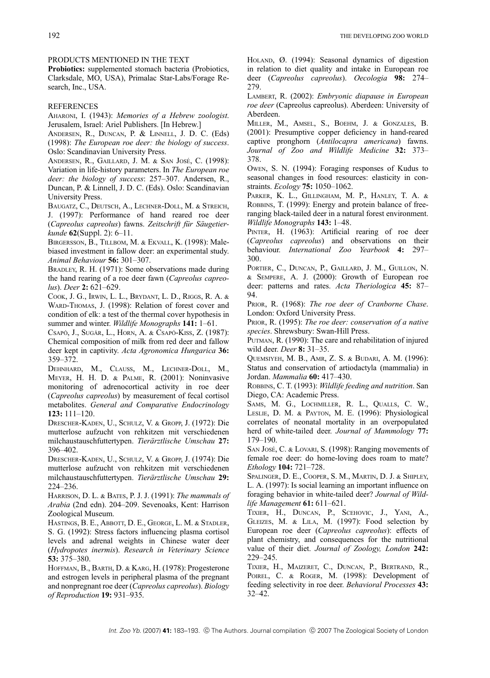PRODUCTS MENTIONED IN THE TEXT

Probiotics: supplemented stomach bacteria (Probiotics, Clarksdale, MO, USA), Primalac Star-Labs/Forage Research, Inc., USA.

#### **REFERENCES**

AHARONI, I. (1943): Memories of a Hebrew zoologist. Jerusalem, Israel: Ariel Publishers. [In Hebrew.]

ANDERSEN, R., DUNCAN, P. & LINNELL, J. D. C. (Eds) (1998): The European roe deer: the biology of success. Oslo: Scandinavian University Press.

ANDERSEN, R., GAILLARD, J. M. & SAN JOSÉ, C. (1998): Variation in life-history parameters. In The European roe deer: the biology of success: 257-307. Andersen, R., Duncan, P. & Linnell, J. D. C. (Eds). Oslo: Scandinavian University Press.

BAUGATZ, C., DEUTSCH, A., LECHNER-DOLL, M. & STREICH, J. (1997): Performance of hand reared roe deer (Capreolus capreolus) fawns. Zeitschrift für Säugetierkunde 62(Suppl. 2): 6–11.

BIRGERSSON, B., TILLBOM, M. & EKVALL, K. (1998): Malebiased investment in fallow deer: an experimental study. Animal Behaviour 56: 301–307.

BRADLEY, R. H. (1971): Some observations made during the hand rearing of a roe deer fawn (Capreolus capreolus). Deer 2: 621–629.

COOK, J. G., IRWIN, L. L., BRYDANT, L. D., RIGGS, R. A. & WARD-THOMAS, J. (1998): Relation of forest cover and condition of elk: a test of the thermal cover hypothesis in summer and winter. Wildlife Monographs 141: 1-61.

CSAPÓ, J., SUGÁR, L., HORN, A. & CSAPÓ-KISS, Z. (1987): Chemical composition of milk from red deer and fallow deer kept in captivity. Acta Agronomica Hungarica 36: 359–372.

DEHNHARD, M., CLAUSS, M., LECHNER-DOLL, M., MEYER, H. H. D. & PALME, R. (2001): Noninvasive monitoring of adrenocortical activity in roe deer (Capreolus capreolus) by measurement of fecal cortisol metabolites. General and Comparative Endocrinology 123: 111–120.

DRESCHER-KADEN, U., SCHULZ, V. & GROPP, J. (1972): Die mutterlose aufzucht von rehkitzen mit verschiedenen milchaustauschfuttertypen. Tierärztlische Umschau 27: 396–402.

DRESCHER-KADEN, U., SCHULZ, V. & GROPP, J. (1974): Die mutterlose aufzucht von rehkitzen mit verschiedenen milchaustauschfuttertypen. Tierärztlische Umschau 29: 224–236.

HARRISON, D. L. & BATES, P. J. J. (1991): The mammals of Arabia (2nd edn). 204–209. Sevenoaks, Kent: Harrison Zoological Museum.

HASTINGS, B. E., ABBOTT, D. E., GEORGE, L. M. & STADLER, S. G. (1992): Stress factors influencing plasma cortisol levels and adrenal weights in Chinese water deer (Hydropotes inermis). Research in Veterinary Science 53: 375–380.

HOFFMAN, B., BARTH, D. & KARG, H. (1978): Progesterone and estrogen levels in peripheral plasma of the pregnant and nonpregnant roe deer (Capreolus capreolus). Biology of Reproduction 19: 931–935.

HOLAND, Ø. (1994): Seasonal dynamics of digestion in relation to diet quality and intake in European roe deer (Capreolus capreolus). Oecologia 98: 274– 279.

LAMBERT, R. (2002): Embryonic diapause in European roe deer (Capreolus capreolus). Aberdeen: University of Aberdeen.

MILLER, M., AMSEL, S., BOEHM, J. & GONZALES, B. (2001): Presumptive copper deficiency in hand-reared captive pronghorn (Antilocapra americana) fawns. Journal of Zoo and Wildlife Medicine 32: 373– 378.

OWEN, S. N. (1994): Foraging responses of Kudus to seasonal changes in food resources: elasticity in constraints. Ecology 75: 1050–1062.

PARKER, K. L., GILLINGHAM, M. P., HANLEY, T. A. & ROBBINS, T. (1999): Energy and protein balance of freeranging black-tailed deer in a natural forest environment. Wildlife Monographs 143: 1–48.

PINTER, H. (1963): Artificial rearing of roe deer (Capreolus capreolus) and observations on their behaviour. International Zoo Yearbook 4: 297– 300.

PORTIER, C., DUNCAN, P., GAILLARD, J. M., GUILLON, N. & SEMPERE, A. J. (2000): Growth of European roe deer: patterns and rates. Acta Theriologica 45: 87– 94.

PRIOR, R. (1968): The roe deer of Cranborne Chase. London: Oxford University Press.

PRIOR, R. (1995): The roe deer: conservation of a native species. Shrewsbury: Swan-Hill Press.

PUTMAN, R. (1990): The care and rehabilitation of injured wild deer. Deer 8: 31–35.

QUEMSIYEH, M. B., AMR, Z. S. & BUDARI, A. M. (1996): Status and conservation of artiodactyla (mammalia) in Jordan. Mammalia 60: 417–430.

ROBBINS, C. T. (1993): Wildlife feeding and nutrition. San Diego, CA: Academic Press.

SAMS, M. G., LOCHMILLER, R. L., QUALLS, C. W., LESLIE, D. M. & PAYTON, M. E. (1996): Physiological correlates of neonatal mortality in an overpopulated herd of white-tailed deer. Journal of Mammology 77: 179–190.

SAN JOSÉ, C. & LOVARI, S. (1998): Ranging movements of female roe deer: do home-loving does roam to mate? Ethology 104: 721–728.

SPALINGER, D. E., COOPER, S. M., MARTIN, D. J. & SHIPLEY, L. A. (1997): Is social learning an important influence on foraging behavior in white-tailed deer? Journal of Wildlife Management 61: 611-621.

TIXIER, H., DUNCAN, P., SCEHOVIC, J., YANI, A., GLEIZES, M. & LILA, M. (1997): Food selection by European roe deer (Capreolus capreolus): effects of plant chemistry, and consequences for the nutritional value of their diet. Journal of Zoology, London 242: 229–245.

TIXIER, H., MAIZERET, C., DUNCAN, P., BERTRAND, R., POIREL, C. & ROGER, M. (1998): Development of feeding selectivity in roe deer. Behavioral Processes 43: 32–42.